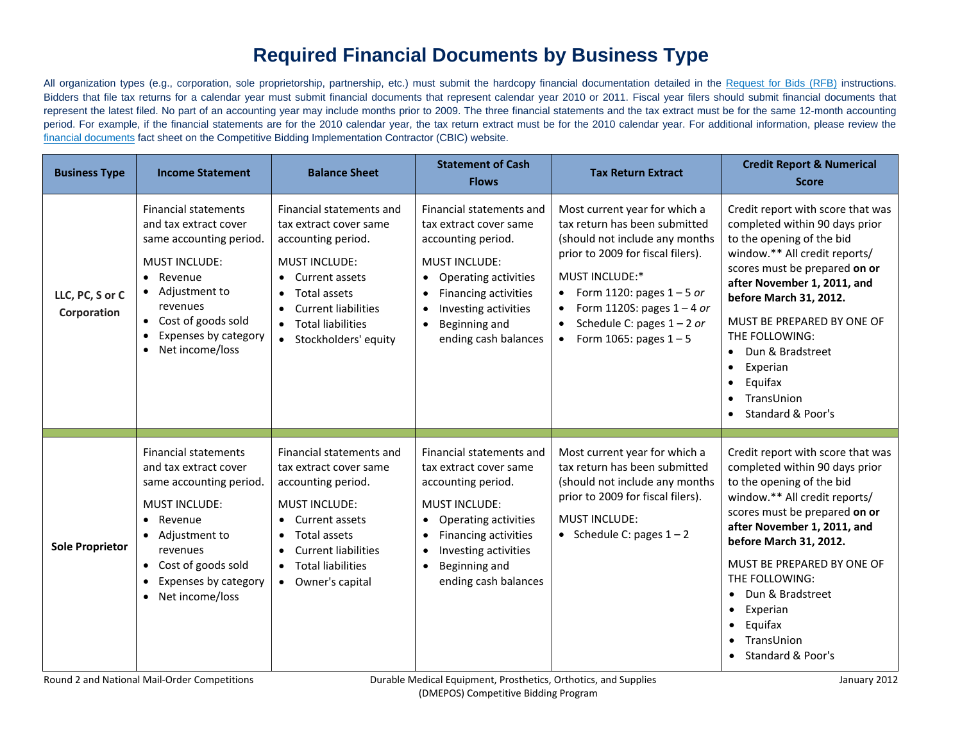## **Required Financial Documents by Business Type**

All organization types (e.g., corporation, sole proprietorship, partnership, etc.) must submit the hardcopy financial documentation detailed in th[e Request for Bids \(RFB\)](http://www.dmecompetitivebid.com/Palmetto/Cbic.nsf/files/R2_RFB.pdf/$FIle/R2_RFB.pdf) instructions. Bidders that file tax returns for a calendar year must submit financial documents that represent calendar year 2010 or 2011. Fiscal year filers should submit financial documents that represent the latest filed. No part of an accounting year may include months prior to 2009. The three financial statements and the tax extract must be for the same 12-month accounting period. For example, if the financial statements are for the 2010 calendar year, the tax return extract must be for the 2010 calendar year. For additional information, please review the [financial documents](http://www.dmecompetitivebid.com/Palmetto/Cbic.Nsf/files/R2_Fact_Sheet_Required_Financial_Documents.pdf/$File/R2_Fact_Sheet_Required_Financial_Documents.pdf) fact sheet on the Competitive Bidding Implementation Contractor (CBIC) website.

| <b>Business Type</b>           | <b>Income Statement</b>                                                                                                                                                                                                                                     | <b>Balance Sheet</b>                                                                                                                                                                                                                | <b>Statement of Cash</b><br><b>Flows</b>                                                                                                                                                                                                                                            | <b>Tax Return Extract</b>                                                                                                                                                                                                                                                                              | <b>Credit Report &amp; Numerical</b><br><b>Score</b>                                                                                                                                                                                                                                                                                                                   |
|--------------------------------|-------------------------------------------------------------------------------------------------------------------------------------------------------------------------------------------------------------------------------------------------------------|-------------------------------------------------------------------------------------------------------------------------------------------------------------------------------------------------------------------------------------|-------------------------------------------------------------------------------------------------------------------------------------------------------------------------------------------------------------------------------------------------------------------------------------|--------------------------------------------------------------------------------------------------------------------------------------------------------------------------------------------------------------------------------------------------------------------------------------------------------|------------------------------------------------------------------------------------------------------------------------------------------------------------------------------------------------------------------------------------------------------------------------------------------------------------------------------------------------------------------------|
| LLC, PC, S or C<br>Corporation | <b>Financial statements</b><br>and tax extract cover<br>same accounting period.<br><b>MUST INCLUDE:</b><br>Revenue<br>$\bullet$<br>• Adjustment to<br>revenues<br>• Cost of goods sold<br>Expenses by category<br>$\bullet$<br>Net income/loss<br>$\bullet$ | Financial statements and<br>tax extract cover same<br>accounting period.<br><b>MUST INCLUDE:</b><br>Current assets<br>Total assets<br><b>Current liabilities</b><br>$\bullet$<br><b>Total liabilities</b><br>• Stockholders' equity | Financial statements and<br>tax extract cover same<br>accounting period.<br><b>MUST INCLUDE:</b><br><b>Operating activities</b><br>$\bullet$<br><b>Financing activities</b><br>$\bullet$<br>Investing activities<br>$\bullet$<br>Beginning and<br>$\bullet$<br>ending cash balances | Most current year for which a<br>tax return has been submitted<br>(should not include any months<br>prior to 2009 for fiscal filers).<br><b>MUST INCLUDE:*</b><br>Form 1120: pages $1 - 5$ or<br>$\bullet$<br>Form 1120S: pages $1 - 4$ or<br>Schedule C: pages $1 - 2$ or<br>Form 1065: pages $1 - 5$ | Credit report with score that was<br>completed within 90 days prior<br>to the opening of the bid<br>window.** All credit reports/<br>scores must be prepared on or<br>after November 1, 2011, and<br>before March 31, 2012.<br>MUST BE PREPARED BY ONE OF<br>THE FOLLOWING:<br>Dun & Bradstreet<br>Experian<br>Equifax<br>TransUnion<br><b>Standard &amp; Poor's</b>   |
| <b>Sole Proprietor</b>         | <b>Financial statements</b><br>and tax extract cover<br>same accounting period.<br><b>MUST INCLUDE:</b><br>• Revenue<br>• Adjustment to<br>revenues<br>Cost of goods sold<br>$\bullet$<br>Expenses by category<br>$\bullet$<br>Net income/loss<br>$\bullet$ | Financial statements and<br>tax extract cover same<br>accounting period.<br><b>MUST INCLUDE:</b><br>Current assets<br>Total assets<br><b>Current liabilities</b><br>$\bullet$<br><b>Total liabilities</b><br>• Owner's capital      | Financial statements and<br>tax extract cover same<br>accounting period.<br><b>MUST INCLUDE:</b><br><b>Operating activities</b><br>$\bullet$<br><b>Financing activities</b><br>$\bullet$<br>Investing activities<br>$\bullet$<br>Beginning and<br>$\bullet$<br>ending cash balances | Most current year for which a<br>tax return has been submitted<br>(should not include any months<br>prior to 2009 for fiscal filers).<br><b>MUST INCLUDE:</b><br>• Schedule C: pages $1 - 2$                                                                                                           | Credit report with score that was<br>completed within 90 days prior<br>to the opening of the bid<br>window.** All credit reports/<br>scores must be prepared on or<br>after November 1, 2011, and<br>before March 31, 2012.<br>MUST BE PREPARED BY ONE OF<br>THE FOLLOWING:<br>Dun & Bradstreet<br>Experian<br>$\bullet$<br>Equifax<br>TransUnion<br>Standard & Poor's |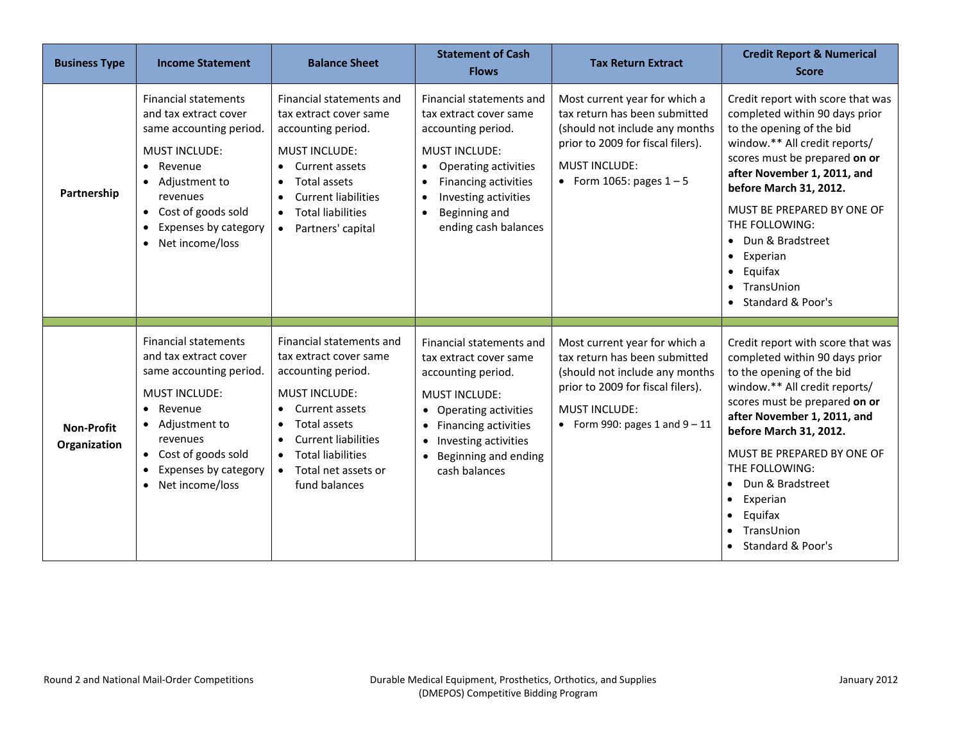| <b>Business Type</b>              | <b>Income Statement</b>                                                                                                                                                                                                             | <b>Balance Sheet</b>                                                                                                                                                                                                                                                               | <b>Statement of Cash</b><br><b>Flows</b>                                                                                                                                                                                                                               | <b>Tax Return Extract</b>                                                                                                                                                                       | <b>Credit Report &amp; Numerical</b><br><b>Score</b>                                                                                                                                                                                                                                                                                                                        |
|-----------------------------------|-------------------------------------------------------------------------------------------------------------------------------------------------------------------------------------------------------------------------------------|------------------------------------------------------------------------------------------------------------------------------------------------------------------------------------------------------------------------------------------------------------------------------------|------------------------------------------------------------------------------------------------------------------------------------------------------------------------------------------------------------------------------------------------------------------------|-------------------------------------------------------------------------------------------------------------------------------------------------------------------------------------------------|-----------------------------------------------------------------------------------------------------------------------------------------------------------------------------------------------------------------------------------------------------------------------------------------------------------------------------------------------------------------------------|
| Partnership                       | <b>Financial statements</b><br>and tax extract cover<br>same accounting period.<br><b>MUST INCLUDE:</b><br>• Revenue<br>• Adjustment to<br>revenues<br>• Cost of goods sold<br>Expenses by category<br>$\bullet$<br>Net income/loss | Financial statements and<br>tax extract cover same<br>accounting period.<br><b>MUST INCLUDE:</b><br>Current assets<br>$\bullet$<br>Total assets<br>$\bullet$<br><b>Current liabilities</b><br>$\bullet$<br><b>Total liabilities</b><br>$\bullet$<br>Partners' capital<br>$\bullet$ | Financial statements and<br>tax extract cover same<br>accounting period.<br><b>MUST INCLUDE:</b><br>Operating activities<br>$\bullet$<br>Financing activities<br>Investing activities<br>$\bullet$<br>Beginning and<br>$\bullet$<br>ending cash balances               | Most current year for which a<br>tax return has been submitted<br>(should not include any months<br>prior to 2009 for fiscal filers).<br><b>MUST INCLUDE:</b><br>• Form 1065: pages $1 - 5$     | Credit report with score that was<br>completed within 90 days prior<br>to the opening of the bid<br>window.** All credit reports/<br>scores must be prepared on or<br>after November 1, 2011, and<br>before March 31, 2012.<br>MUST BE PREPARED BY ONE OF<br>THE FOLLOWING:<br>• Dun & Bradstreet<br>• Experian<br>$\bullet$ Equifax<br>• TransUnion<br>• Standard & Poor's |
| <b>Non-Profit</b><br>Organization | <b>Financial statements</b><br>and tax extract cover<br>same accounting period.<br><b>MUST INCLUDE:</b><br>• Revenue<br>• Adjustment to<br>revenues<br>• Cost of goods sold<br>Expenses by category<br>Net income/loss<br>$\bullet$ | Financial statements and<br>tax extract cover same<br>accounting period.<br><b>MUST INCLUDE:</b><br>Current assets<br>Total assets<br>$\bullet$<br><b>Current liabilities</b><br>$\bullet$<br><b>Total liabilities</b><br>$\bullet$<br>Total net assets or<br>fund balances        | Financial statements and<br>tax extract cover same<br>accounting period.<br><b>MUST INCLUDE:</b><br><b>Operating activities</b><br>$\bullet$<br><b>Financing activities</b><br>$\bullet$<br>Investing activities<br>$\bullet$<br>Beginning and ending<br>cash balances | Most current year for which a<br>tax return has been submitted<br>(should not include any months<br>prior to 2009 for fiscal filers).<br><b>MUST INCLUDE:</b><br>• Form 990: pages 1 and $9-11$ | Credit report with score that was<br>completed within 90 days prior<br>to the opening of the bid<br>window.** All credit reports/<br>scores must be prepared on or<br>after November 1, 2011, and<br>before March 31, 2012.<br>MUST BE PREPARED BY ONE OF<br>THE FOLLOWING:<br>Dun & Bradstreet<br>• Experian<br>Equifax<br>TransUnion<br>Standard & Poor's                 |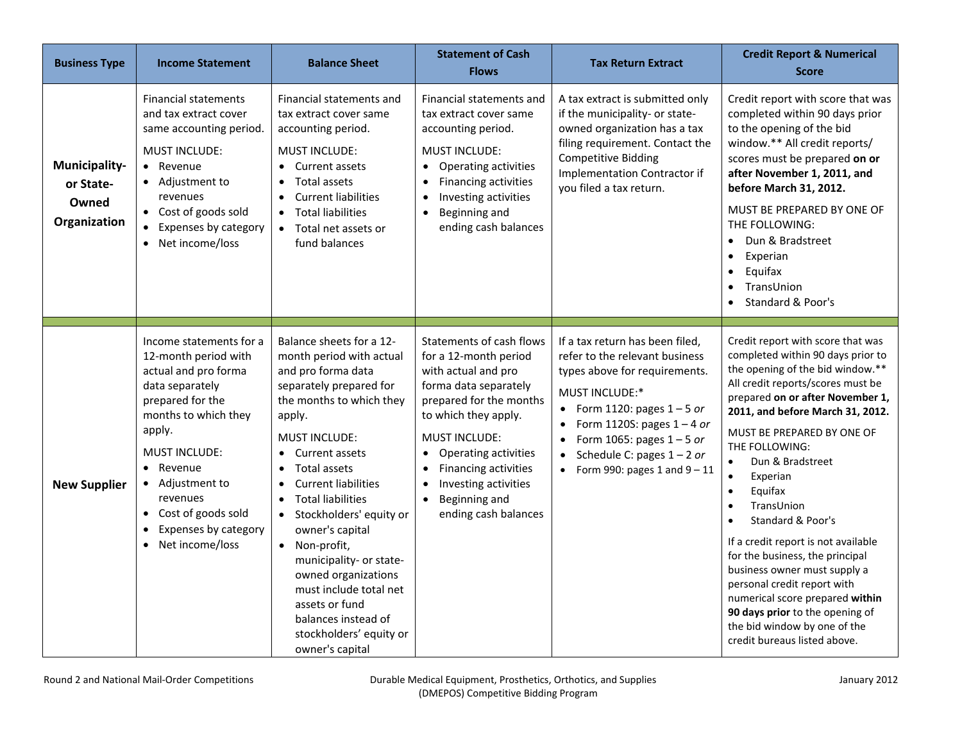| <b>Business Type</b>                                | <b>Income Statement</b>                                                                                                                                                                                                                                                                            | <b>Balance Sheet</b>                                                                                                                                                                                                                                                                                                                                                                                                                                                                                                                 | <b>Statement of Cash</b><br><b>Flows</b>                                                                                                                                                                                                                                                                                                          | <b>Tax Return Extract</b>                                                                                                                                                                                                                                                                                                                                    | <b>Credit Report &amp; Numerical</b><br><b>Score</b>                                                                                                                                                                                                                                                                                                                                                                                                                                                                                                                                                                                                                        |
|-----------------------------------------------------|----------------------------------------------------------------------------------------------------------------------------------------------------------------------------------------------------------------------------------------------------------------------------------------------------|--------------------------------------------------------------------------------------------------------------------------------------------------------------------------------------------------------------------------------------------------------------------------------------------------------------------------------------------------------------------------------------------------------------------------------------------------------------------------------------------------------------------------------------|---------------------------------------------------------------------------------------------------------------------------------------------------------------------------------------------------------------------------------------------------------------------------------------------------------------------------------------------------|--------------------------------------------------------------------------------------------------------------------------------------------------------------------------------------------------------------------------------------------------------------------------------------------------------------------------------------------------------------|-----------------------------------------------------------------------------------------------------------------------------------------------------------------------------------------------------------------------------------------------------------------------------------------------------------------------------------------------------------------------------------------------------------------------------------------------------------------------------------------------------------------------------------------------------------------------------------------------------------------------------------------------------------------------------|
| Municipality-<br>or State-<br>Owned<br>Organization | <b>Financial statements</b><br>and tax extract cover<br>same accounting period.<br><b>MUST INCLUDE:</b><br>• Revenue<br>• Adjustment to<br>revenues<br>• Cost of goods sold<br>Expenses by category<br>$\bullet$<br>• Net income/loss                                                              | Financial statements and<br>tax extract cover same<br>accounting period.<br><b>MUST INCLUDE:</b><br>Current assets<br>Total assets<br><b>Current liabilities</b><br><b>Total liabilities</b><br>$\bullet$<br>• Total net assets or<br>fund balances                                                                                                                                                                                                                                                                                  | Financial statements and<br>tax extract cover same<br>accounting period.<br><b>MUST INCLUDE:</b><br>Operating activities<br>$\bullet$<br>Financing activities<br>$\bullet$<br>Investing activities<br>$\bullet$<br>Beginning and<br>$\bullet$<br>ending cash balances                                                                             | A tax extract is submitted only<br>if the municipality- or state-<br>owned organization has a tax<br>filing requirement. Contact the<br><b>Competitive Bidding</b><br><b>Implementation Contractor if</b><br>you filed a tax return.                                                                                                                         | Credit report with score that was<br>completed within 90 days prior<br>to the opening of the bid<br>window.** All credit reports/<br>scores must be prepared on or<br>after November 1, 2011, and<br>before March 31, 2012.<br>MUST BE PREPARED BY ONE OF<br>THE FOLLOWING:<br>Dun & Bradstreet<br>Experian<br>Equifax<br>TransUnion<br>Standard & Poor's                                                                                                                                                                                                                                                                                                                   |
| <b>New Supplier</b>                                 | Income statements for a<br>12-month period with<br>actual and pro forma<br>data separately<br>prepared for the<br>months to which they<br>apply.<br><b>MUST INCLUDE:</b><br>• Revenue<br>• Adjustment to<br>revenues<br>Cost of goods sold<br>$\bullet$<br>Expenses by category<br>Net income/loss | Balance sheets for a 12-<br>month period with actual<br>and pro forma data<br>separately prepared for<br>the months to which they<br>apply.<br><b>MUST INCLUDE:</b><br>Current assets<br><b>Total assets</b><br>$\bullet$<br><b>Current liabilities</b><br>$\bullet$<br><b>Total liabilities</b><br>• Stockholders' equity or<br>owner's capital<br>• Non-profit,<br>municipality- or state-<br>owned organizations<br>must include total net<br>assets or fund<br>balances instead of<br>stockholders' equity or<br>owner's capital | Statements of cash flows<br>for a 12-month period<br>with actual and pro<br>forma data separately<br>prepared for the months<br>to which they apply.<br><b>MUST INCLUDE:</b><br>Operating activities<br>$\bullet$<br>Financing activities<br>$\bullet$<br>Investing activities<br>$\bullet$<br>Beginning and<br>$\bullet$<br>ending cash balances | If a tax return has been filed,<br>refer to the relevant business<br>types above for requirements.<br><b>MUST INCLUDE:*</b><br>Form 1120: pages $1 - 5$ or<br>$\bullet$<br>Form 1120S: pages $1 - 4$ or<br>$\bullet$<br>Form 1065: pages $1 - 5$ or<br>$\bullet$<br>Schedule C: pages $1 - 2$ or<br>$\bullet$<br>Form 990: pages 1 and $9 - 11$<br>$\bullet$ | Credit report with score that was<br>completed within 90 days prior to<br>the opening of the bid window.**<br>All credit reports/scores must be<br>prepared on or after November 1,<br>2011, and before March 31, 2012.<br>MUST BE PREPARED BY ONE OF<br>THE FOLLOWING:<br>Dun & Bradstreet<br>$\bullet$<br>$\bullet$<br>Experian<br>Equifax<br>$\bullet$<br>TransUnion<br>Standard & Poor's<br>If a credit report is not available<br>for the business, the principal<br>business owner must supply a<br>personal credit report with<br>numerical score prepared within<br>90 days prior to the opening of<br>the bid window by one of the<br>credit bureaus listed above. |